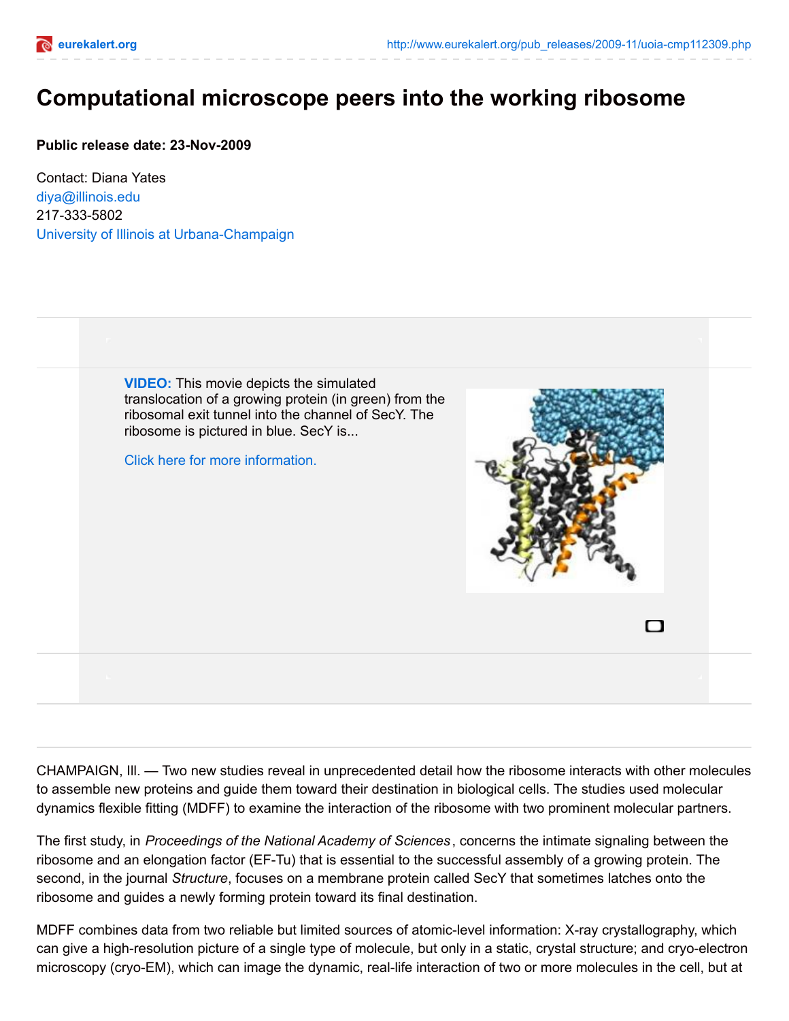

## **Computational microscope peers into the working ribosome**

**Public release date: 23-Nov-2009**

Contact: Diana Yates [diya@illinois.edu](mailto:diya@illinois.edu) 217-333-5802 University of Illinois at [Urbana-Champaign](http://www.uiuc.edu/)



CHAMPAIGN, Ill. — Two new studies reveal in unprecedented detail how the ribosome interacts with other molecules to assemble new proteins and guide them toward their destination in biological cells. The studies used molecular dynamics flexible fitting (MDFF) to examine the interaction of the ribosome with two prominent molecular partners.

The first study, in *Proceedings of the National Academy of Sciences* , concerns the intimate signaling between the ribosome and an elongation factor (EF-Tu) that is essential to the successful assembly of a growing protein. The second, in the journal *Structure*, focuses on a membrane protein called SecY that sometimes latches onto the ribosome and guides a newly forming protein toward its final destination.

MDFF combines data from two reliable but limited sources of atomic-level information: X-ray crystallography, which can give a high-resolution picture of a single type of molecule, but only in a static, crystal structure; and cryo-electron microscopy (cryo-EM), which can image the dynamic, real-life interaction of two or more molecules in the cell, but at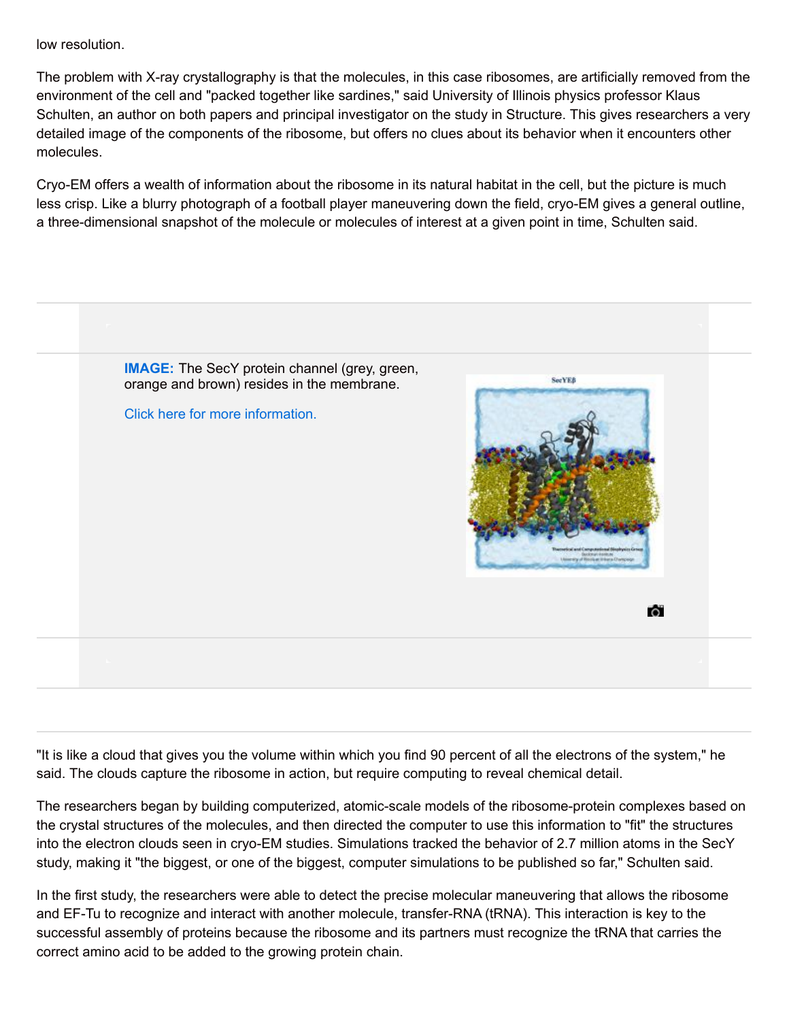low resolution.

The problem with X-ray crystallography is that the molecules, in this case ribosomes, are artificially removed from the environment of the cell and "packed together like sardines," said University of Illinois physics professor Klaus Schulten, an author on both papers and principal investigator on the study in Structure. This gives researchers a very detailed image of the components of the ribosome, but offers no clues about its behavior when it encounters other molecules.

Cryo-EM offers a wealth of information about the ribosome in its natural habitat in the cell, but the picture is much less crisp. Like a blurry photograph of a football player maneuvering down the field, cryo-EM gives a general outline, a three-dimensional snapshot of the molecule or molecules of interest at a given point in time, Schulten said.



"It is like a cloud that gives you the volume within which you find 90 percent of all the electrons of the system," he said. The clouds capture the ribosome in action, but require computing to reveal chemical detail.

The researchers began by building computerized, atomic-scale models of the ribosome-protein complexes based on the crystal structures of the molecules, and then directed the computer to use this information to "fit" the structures into the electron clouds seen in cryo-EM studies. Simulations tracked the behavior of 2.7 million atoms in the SecY study, making it "the biggest, or one of the biggest, computer simulations to be published so far," Schulten said.

In the first study, the researchers were able to detect the precise molecular maneuvering that allows the ribosome and EF-Tu to recognize and interact with another molecule, transfer-RNA (tRNA). This interaction is key to the successful assembly of proteins because the ribosome and its partners must recognize the tRNA that carries the correct amino acid to be added to the growing protein chain.